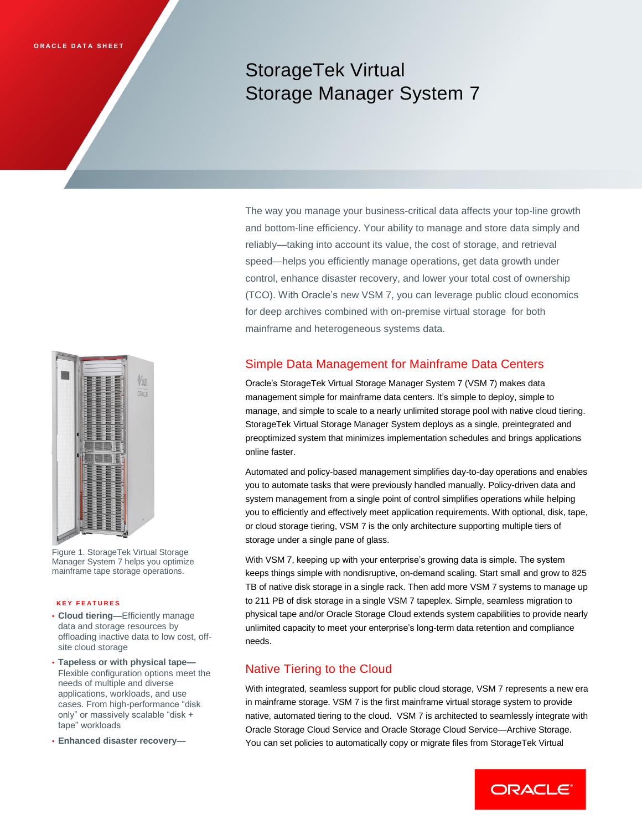# StorageTek Virtual Storage Manager System 7

The way you manage your business-critical data affects your top-line growth and bottom-line efficiency. Your ability to manage and store data simply and reliably—taking into account its value, the cost of storage, and retrieval speed—helps you efficiently manage operations, get data growth under control, enhance disaster recovery, and lower your total cost of ownership (TCO). With Oracle's new VSM 7, you can leverage public cloud economics for deep archives combined with on-premise virtual storage for both mainframe and heterogeneous systems data.

# Simple Data Management for Mainframe Data Centers

Oracle's StorageTek Virtual Storage Manager System 7 (VSM 7) makes data management simple for mainframe data centers. It's simple to deploy, simple to manage, and simple to scale to a nearly unlimited storage pool with native cloud tiering. StorageTek Virtual Storage Manager System deploys as a single, preintegrated and preoptimized system that minimizes implementation schedules and brings applications online faster.

Automated and policy-based management simplifies day-to-day operations and enables you to automate tasks that were previously handled manually. Policy-driven data and system management from a single point of control simplifies operations while helping you to efficiently and effectively meet application requirements. With optional, disk, tape, or cloud storage tiering, VSM 7 is the only architecture supporting multiple tiers of storage under a single pane of glass.

With VSM 7, keeping up with your enterprise's growing data is simple. The system keeps things simple with nondisruptive, on-demand scaling. Start small and grow to 825 TB of native disk storage in a single rack. Then add more VSM 7 systems to manage up to 211 PB of disk storage in a single VSM 7 tapeplex. Simple, seamless migration to physical tape and/or Oracle Storage Cloud extends system capabilities to provide nearly unlimited capacity to meet your enterprise's long-term data retention and compliance needs.

# Native Tiering to the Cloud

With integrated, seamless support for public cloud storage, VSM 7 represents a new era in mainframe storage. VSM 7 is the first mainframe virtual storage system to provide native, automated tiering to the cloud. VSM 7 is architected to seamlessly integrate with Oracle Storage Cloud Service and Oracle Storage Cloud Service—Archive Storage. You can set policies to automatically copy or migrate files from StorageTek Virtual



Figure 1. StorageTek Virtual Storage Manager System 7 helps you optimize mainframe tape storage operations.

#### **K E Y F E A T U R E S**

- **Cloud tiering—**Efficiently manage data and storage resources by offloading inactive data to low cost, offsite cloud storage
- **Tapeless or with physical tape—** Flexible configuration options meet the needs of multiple and diverse applications, workloads, and use cases. From high-performance "disk only" or massively scalable "disk + tape" workloads
- **Enhanced disaster recovery—**

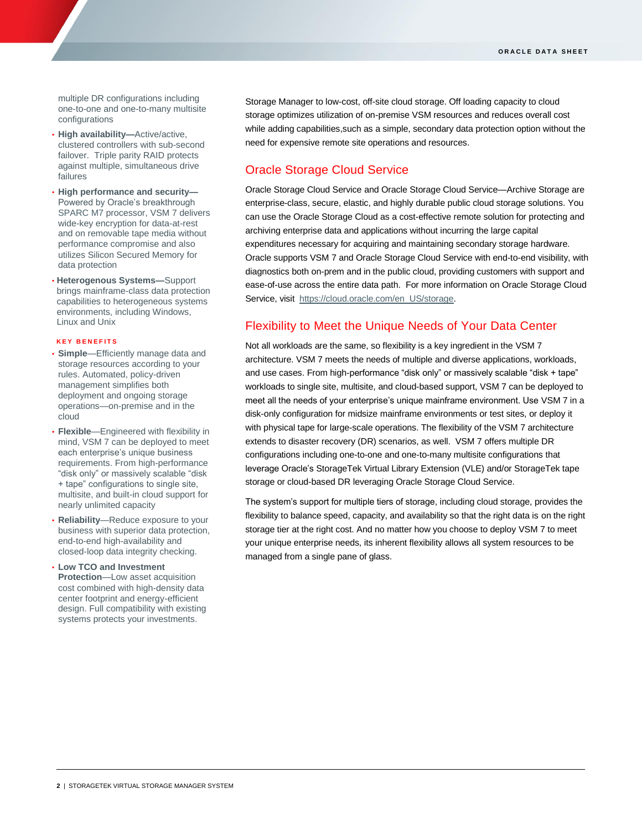multiple DR configurations including one-to-one and one-to-many multisite configurations

- **High availability—**Active/active, clustered controllers with sub-second failover. Triple parity RAID protects against multiple, simultaneous drive failures
- **High performance and security—** Powered by Oracle's breakthrough [SPARC M7](https://www.oracle.com/corporate/pressrelease/sparc-m7-102615.html) processor, VSM 7 delivers wide-key encryption for data-at-rest and on removable tape media without performance compromise and also utilizes Silicon Secured Memory for data protection
- **Heterogenous Systems—**Support brings mainframe-class data protection capabilities to heterogeneous systems environments, including Windows, Linux and Unix

#### **K E Y B E N E F I T S**

- **Simple**—Efficiently manage data and storage resources according to your rules. Automated, policy-driven management simplifies both deployment and ongoing storage operations—on-premise and in the cloud
- **Flexible**—Engineered with flexibility in mind, VSM 7 can be deployed to meet each enterprise's unique business requirements. From high-performance "disk only" or massively scalable "disk + tape" configurations to single site, multisite, and built-in cloud support for nearly unlimited capacity
- **Reliability**—Reduce exposure to your business with superior data protection, end-to-end high-availability and closed-loop data integrity checking.
- **Low TCO and Investment Protection**—Low asset acquisition cost combined with high-density data center footprint and energy-efficient design. Full compatibility with existing systems protects your investments.

Storage Manager to low-cost, off-site cloud storage. Off loading capacity to cloud storage optimizes utilization of on-premise VSM resources and reduces overall cost while adding capabilities, such as a simple, secondary data protection option without the need for expensive remote site operations and resources.

## Oracle Storage Cloud Service

Oracle Storage Cloud Service and Oracle Storage Cloud Service—Archive Storage are enterprise-class, secure, elastic, and highly durable public cloud storage solutions. You can use the Oracle Storage Cloud as a cost-effective remote solution for protecting and archiving enterprise data and applications without incurring the large capital expenditures necessary for acquiring and maintaining secondary storage hardware. Oracle supports VSM 7 and Oracle Storage Cloud Service with end-to-end visibility, with diagnostics both on-prem and in the public cloud, providing customers with support and ease-of-use across the entire data path. For more information on Oracle Storage Cloud Service, visit [https://cloud.oracle.com/en\\_US/storage.](https://cloud.oracle.com/en_US/storage)

## Flexibility to Meet the Unique Needs of Your Data Center

Not all workloads are the same, so flexibility is a key ingredient in the VSM 7 architecture. VSM 7 meets the needs of multiple and diverse applications, workloads, and use cases. From high-performance "disk only" or massively scalable "disk + tape" workloads to single site, multisite, and cloud-based support, VSM 7 can be deployed to meet all the needs of your enterprise's unique mainframe environment. Use VSM 7 in a disk-only configuration for midsize mainframe environments or test sites, or deploy it with physical tape for large-scale operations. The flexibility of the VSM 7 architecture extends to disaster recovery (DR) scenarios, as well. VSM 7 offers multiple DR configurations including one-to-one and one-to-many multisite configurations that leverage Oracle's StorageTek Virtual Library Extension (VLE) and/or StorageTek tape storage or cloud-based DR leveraging Oracle Storage Cloud Service.

The system's support for multiple tiers of storage, including cloud storage, provides the flexibility to balance speed, capacity, and availability so that the right data is on the right storage tier at the right cost. And no matter how you choose to deploy VSM 7 to meet your unique enterprise needs, its inherent flexibility allows all system resources to be managed from a single pane of glass.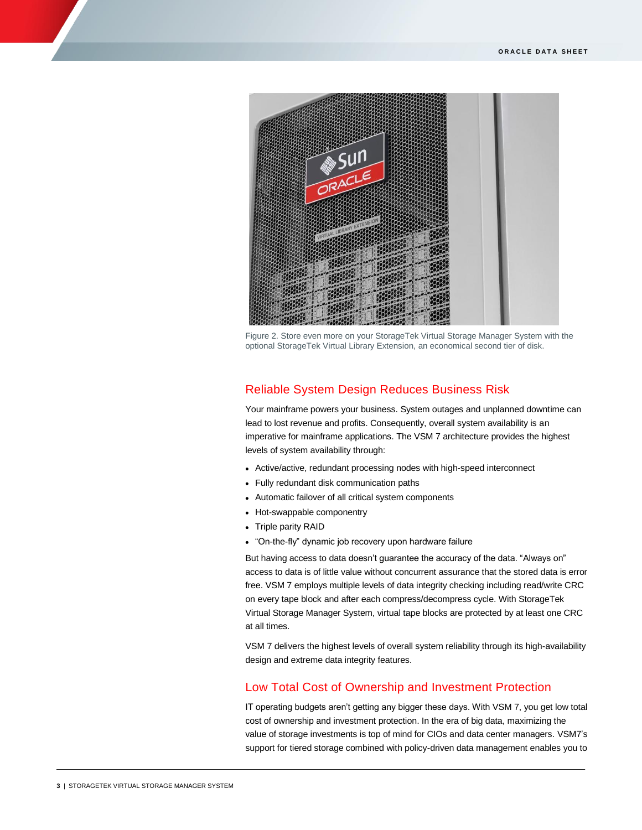

Figure 2. Store even more on your StorageTek Virtual Storage Manager System with the optional StorageTek Virtual Library Extension, an economical second tier of disk.

## Reliable System Design Reduces Business Risk

Your mainframe powers your business. System outages and unplanned downtime can lead to lost revenue and profits. Consequently, overall system availability is an imperative for mainframe applications. The VSM 7 architecture provides the highest levels of system availability through:

- Active/active, redundant processing nodes with high-speed interconnect
- Fully redundant disk communication paths
- Automatic failover of all critical system components
- Hot-swappable componentry
- Triple parity RAID
- "On-the-fly" dynamic job recovery upon hardware failure

But having access to data doesn't guarantee the accuracy of the data. "Always on" access to data is of little value without concurrent assurance that the stored data is error free. VSM 7 employs multiple levels of data integrity checking including read/write CRC on every tape block and after each compress/decompress cycle. With StorageTek Virtual Storage Manager System, virtual tape blocks are protected by at least one CRC at all times.

VSM 7 delivers the highest levels of overall system reliability through its high-availability design and extreme data integrity features.

## Low Total Cost of Ownership and Investment Protection

IT operating budgets aren't getting any bigger these days. With VSM 7, you get low total cost of ownership and investment protection. In the era of big data, maximizing the value of storage investments is top of mind for CIOs and data center managers. VSM7's support for tiered storage combined with policy-driven data management enables you to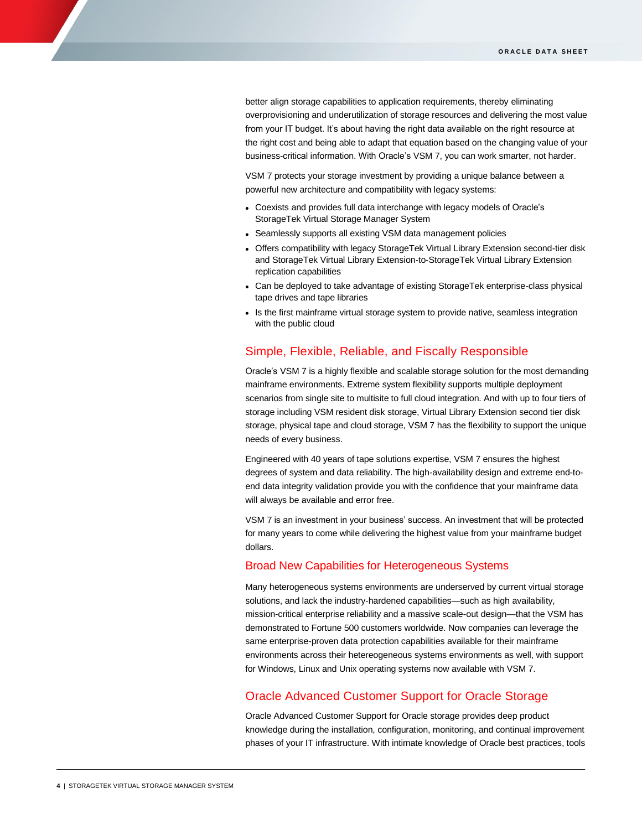better align storage capabilities to application requirements, thereby eliminating overprovisioning and underutilization of storage resources and delivering the most value from your IT budget. It's about having the right data available on the right resource at the right cost and being able to adapt that equation based on the changing value of your business-critical information. With Oracle's VSM 7, you can work smarter, not harder.

VSM 7 protects your storage investment by providing a unique balance between a powerful new architecture and compatibility with legacy systems:

- Coexists and provides full data interchange with legacy models of Oracle's StorageTek Virtual Storage Manager System
- Seamlessly supports all existing VSM data management policies
- Offers compatibility with legacy StorageTek Virtual Library Extension second-tier disk and StorageTek Virtual Library Extension-to-StorageTek Virtual Library Extension replication capabilities
- Can be deployed to take advantage of existing StorageTek enterprise-class physical tape drives and tape libraries
- Is the first mainframe virtual storage system to provide native, seamless integration with the public cloud

## Simple, Flexible, Reliable, and Fiscally Responsible

Oracle's VSM 7 is a highly flexible and scalable storage solution for the most demanding mainframe environments. Extreme system flexibility supports multiple deployment scenarios from single site to multisite to full cloud integration. And with up to four tiers of storage including VSM resident disk storage, Virtual Library Extension second tier disk storage, physical tape and cloud storage, VSM 7 has the flexibility to support the unique needs of every business.

Engineered with 40 years of tape solutions expertise, VSM 7 ensures the highest degrees of system and data reliability. The high-availability design and extreme end-toend data integrity validation provide you with the confidence that your mainframe data will always be available and error free.

VSM 7 is an investment in your business' success. An investment that will be protected for many years to come while delivering the highest value from your mainframe budget dollars.

#### Broad New Capabilities for Heterogeneous Systems

Many heterogeneous systems environments are underserved by current virtual storage solutions, and lack the industry-hardened capabilities—such as high availability, mission-critical enterprise reliability and a massive scale-out design—that the VSM has demonstrated to Fortune 500 customers worldwide. Now companies can leverage the same enterprise-proven data protection capabilities available for their mainframe environments across their hetereogeneous systems environments as well, with support for Windows, Linux and Unix operating systems now available with VSM 7.

## Oracle Advanced Customer Support for Oracle Storage

Oracle Advanced Customer Support for Oracle storage provides deep product knowledge during the installation, configuration, monitoring, and continual improvement phases of your IT infrastructure. With intimate knowledge of Oracle best practices, tools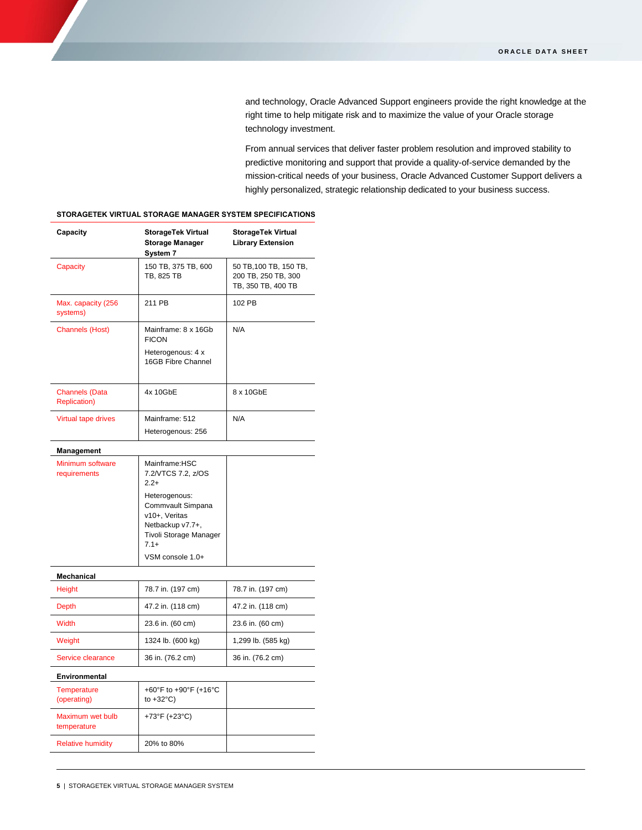and technology, Oracle Advanced Support engineers provide the right knowledge at the right time to help mitigate risk and to maximize the value of your Oracle storage technology investment.

From annual services that deliver faster problem resolution and improved stability to predictive monitoring and support that provide a quality-of-service demanded by the mission-critical needs of your business, Oracle Advanced Customer Support delivers a highly personalized, strategic relationship dedicated to your business success.

| Capacity                                      | <b>StorageTek Virtual</b><br><b>Storage Manager</b><br>System 7                                                                                                                  | <b>StorageTek Virtual</b><br><b>Library Extension</b>               |
|-----------------------------------------------|----------------------------------------------------------------------------------------------------------------------------------------------------------------------------------|---------------------------------------------------------------------|
| Capacity                                      | 150 TB, 375 TB, 600<br>TB, 825 TB                                                                                                                                                | 50 TB, 100 TB, 150 TB,<br>200 TB, 250 TB, 300<br>TB, 350 TB, 400 TB |
| Max. capacity (256<br>systems)                | 211 PB                                                                                                                                                                           | 102 PB                                                              |
| <b>Channels (Host)</b>                        | Mainframe: 8 x 16Gb<br><b>FICON</b><br>Heterogenous: 4 x<br>16GB Fibre Channel                                                                                                   | N/A                                                                 |
| <b>Channels (Data</b><br><b>Replication</b> ) | 4x 10GbE                                                                                                                                                                         | 8 x 10GbE                                                           |
| <b>Virtual tape drives</b>                    | Mainframe: 512<br>Heterogenous: 256                                                                                                                                              | N/A                                                                 |
| Management                                    |                                                                                                                                                                                  |                                                                     |
| Minimum software<br>requirements              | Mainframe:HSC<br>7.2/VTCS 7.2, z/OS<br>$2.2+$<br>Heterogenous:<br>Commvault Simpana<br>v10+, Veritas<br>Netbackup v7.7+,<br>Tivoli Storage Manager<br>$7.1+$<br>VSM console 1.0+ |                                                                     |
| Mechanical                                    |                                                                                                                                                                                  |                                                                     |
| Height                                        | 78.7 in. (197 cm)                                                                                                                                                                | 78.7 in. (197 cm)                                                   |
| Depth                                         | 47.2 in. (118 cm)                                                                                                                                                                | 47.2 in. (118 cm)                                                   |
| <b>Width</b>                                  | 23.6 in. (60 cm)                                                                                                                                                                 | 23.6 in. (60 cm)                                                    |
| Weight                                        | 1324 lb. (600 kg)                                                                                                                                                                | 1,299 lb. (585 kg)                                                  |
| Service clearance                             | 36 in. (76.2 cm)                                                                                                                                                                 | 36 in. (76.2 cm)                                                    |
| Environmental                                 |                                                                                                                                                                                  |                                                                     |
| <b>Temperature</b><br>(operating)             | +60°F to +90°F (+16°C<br>to $+32^{\circ}$ C)                                                                                                                                     |                                                                     |
| Maximum wet bulb<br>temperature               | +73°F (+23°C)                                                                                                                                                                    |                                                                     |
| <b>Relative humidity</b>                      | 20% to 80%                                                                                                                                                                       |                                                                     |

#### **STORAGETEK VIRTUAL STORAGE MANAGER SYSTEM SPECIFICATIONS**